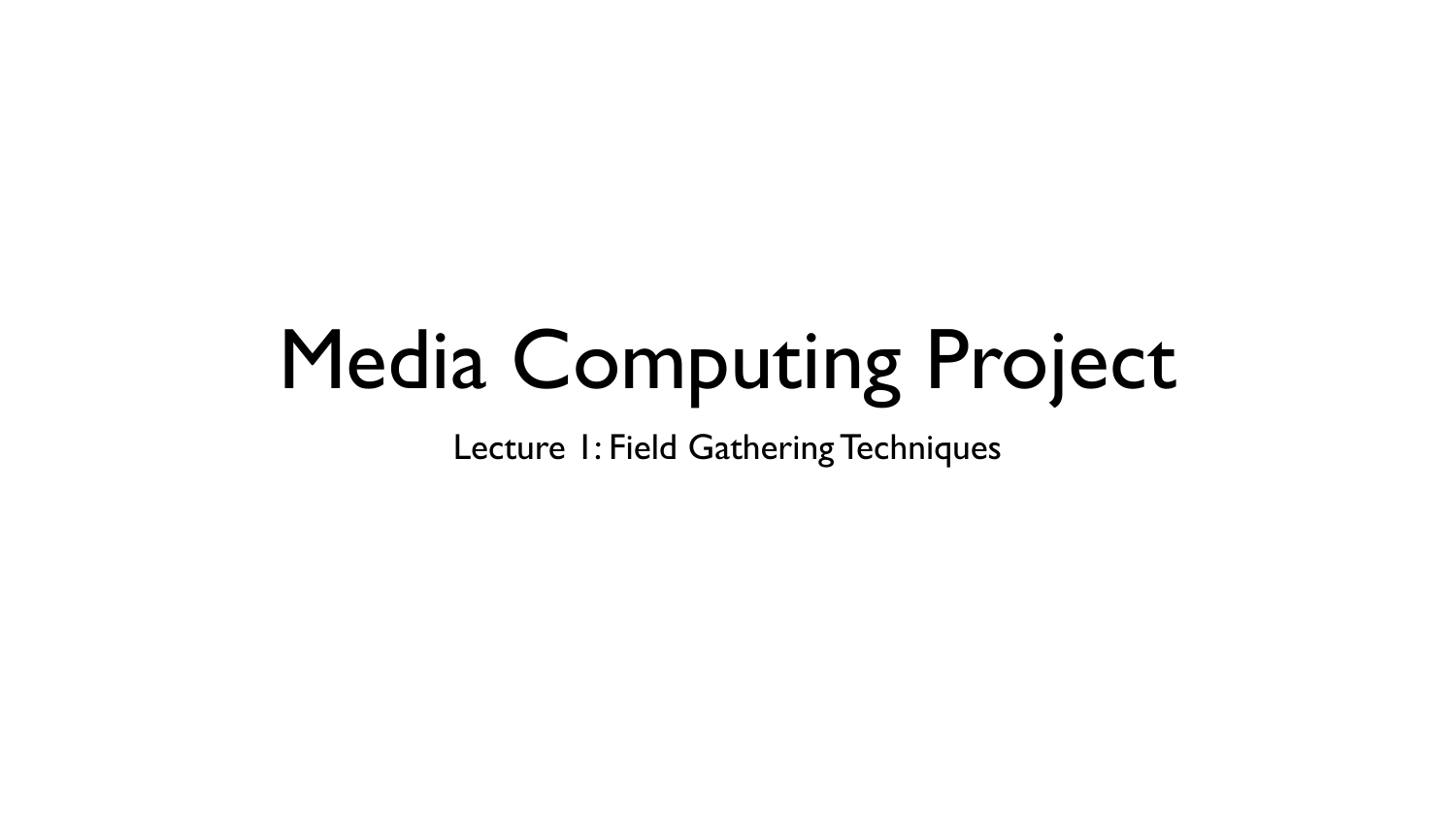## Media Computing Project

Lecture 1: Field Gathering Techniques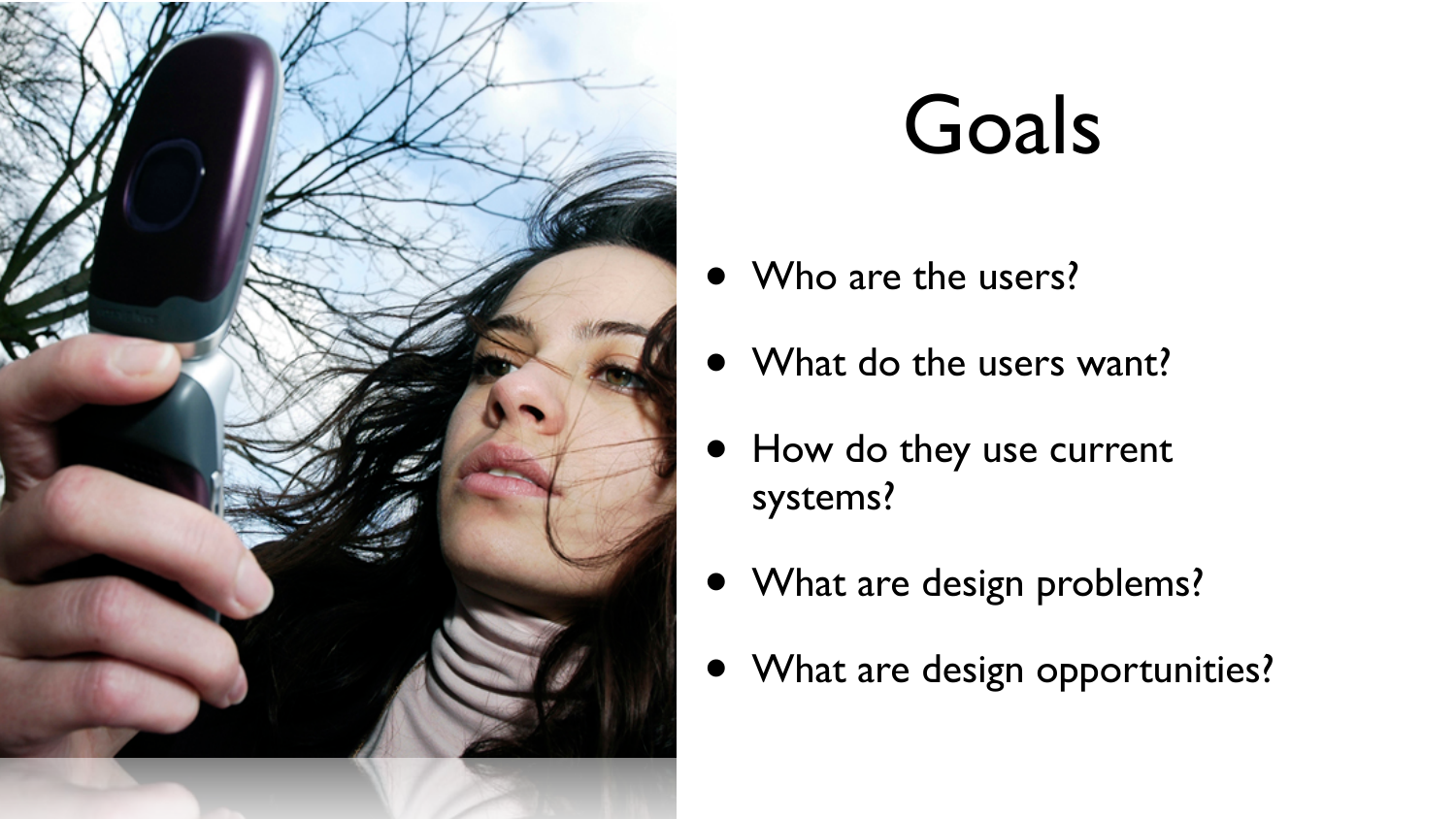

#### Goals

- Who are the users?
- What do the users want?
- How do they use current systems?
- What are design problems?
- What are design opportunities?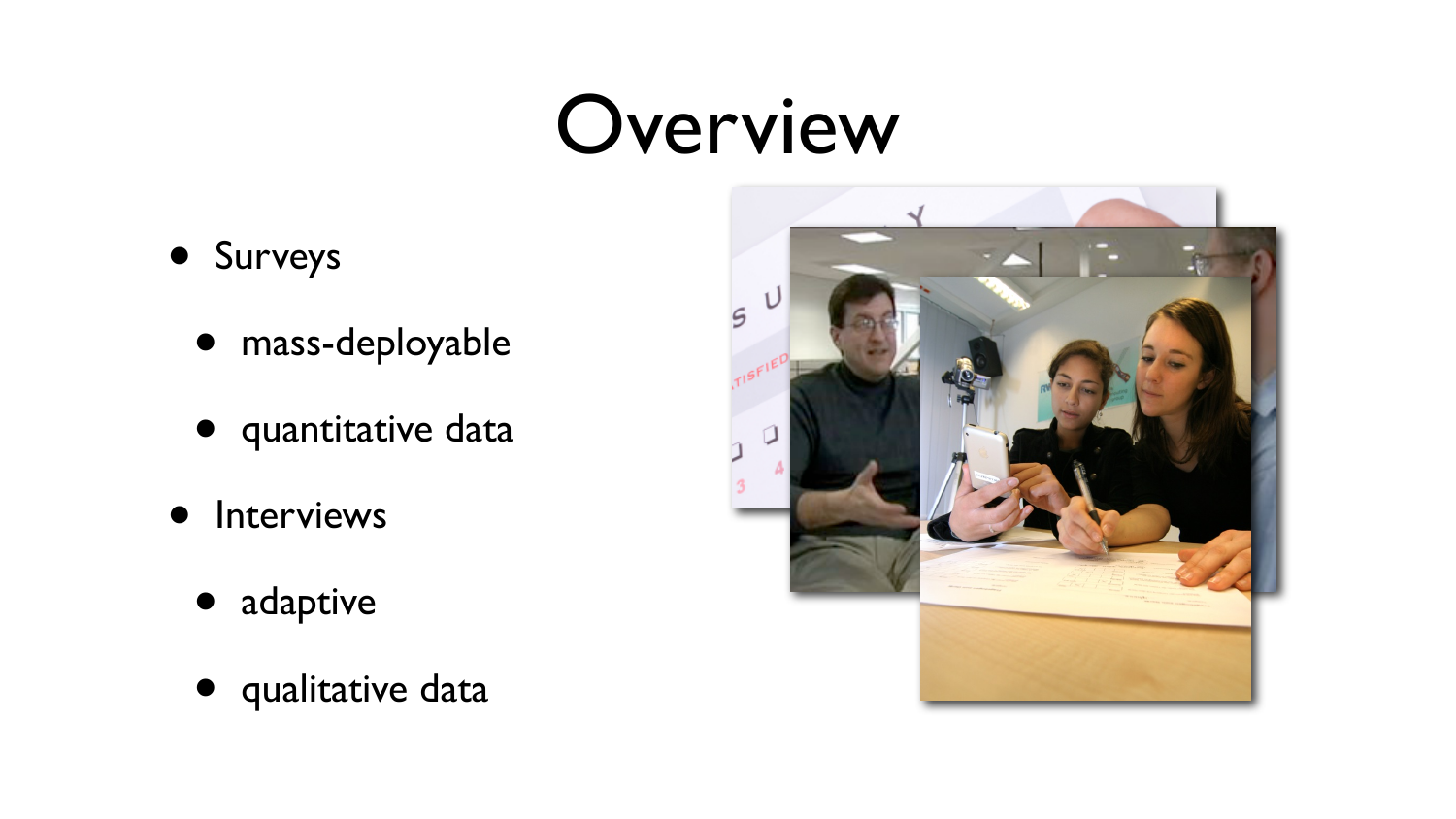#### Overview

- Surveys
	- mass-deployable
	- quantitative data
- **•** Interviews
	- adaptive
	- qualitative data

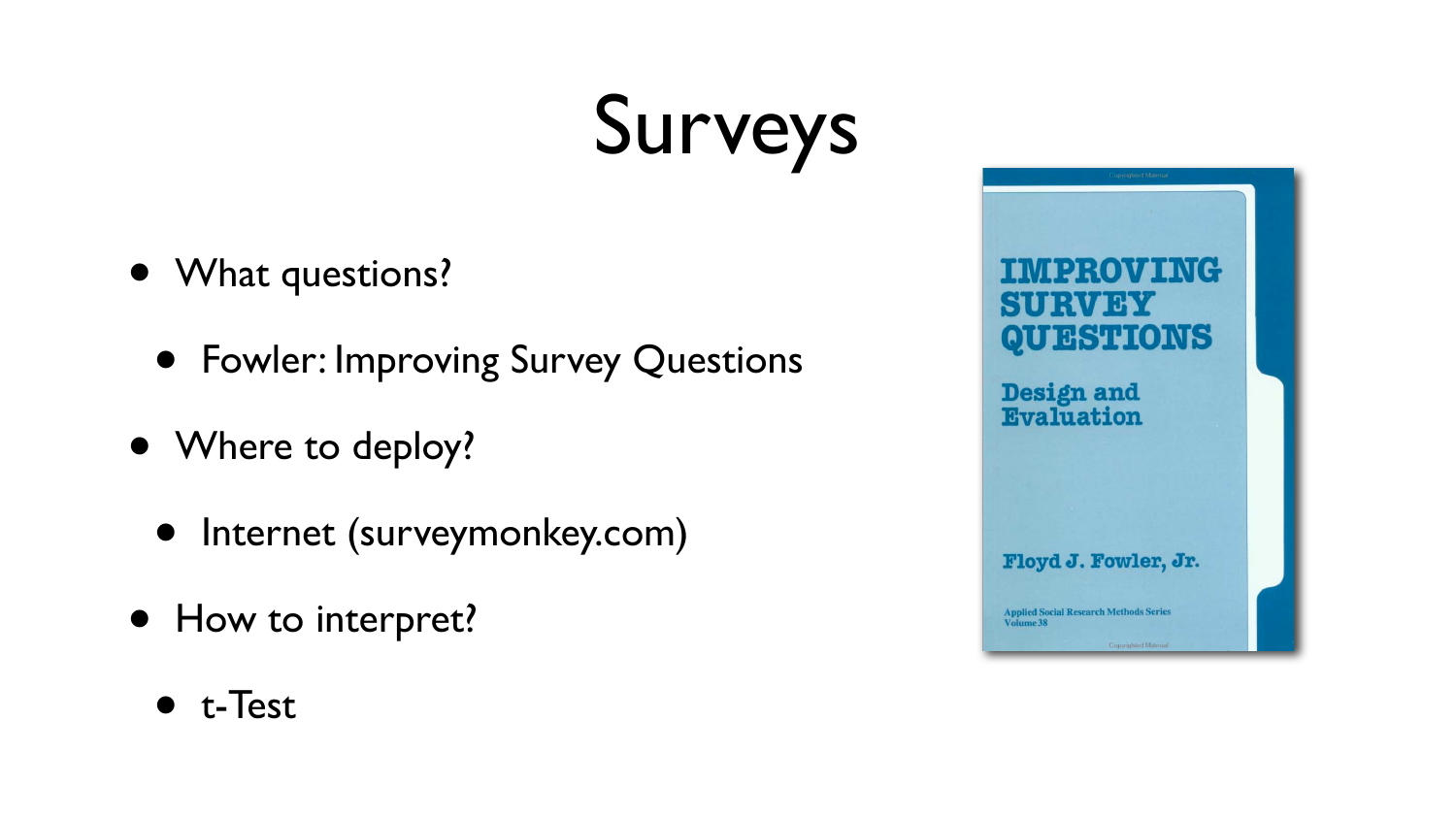## Surveys

- What questions?
	- Fowler: Improving Survey Questions
- Where to deploy?
	- Internet (surveymonkey.com)
- How to interpret?



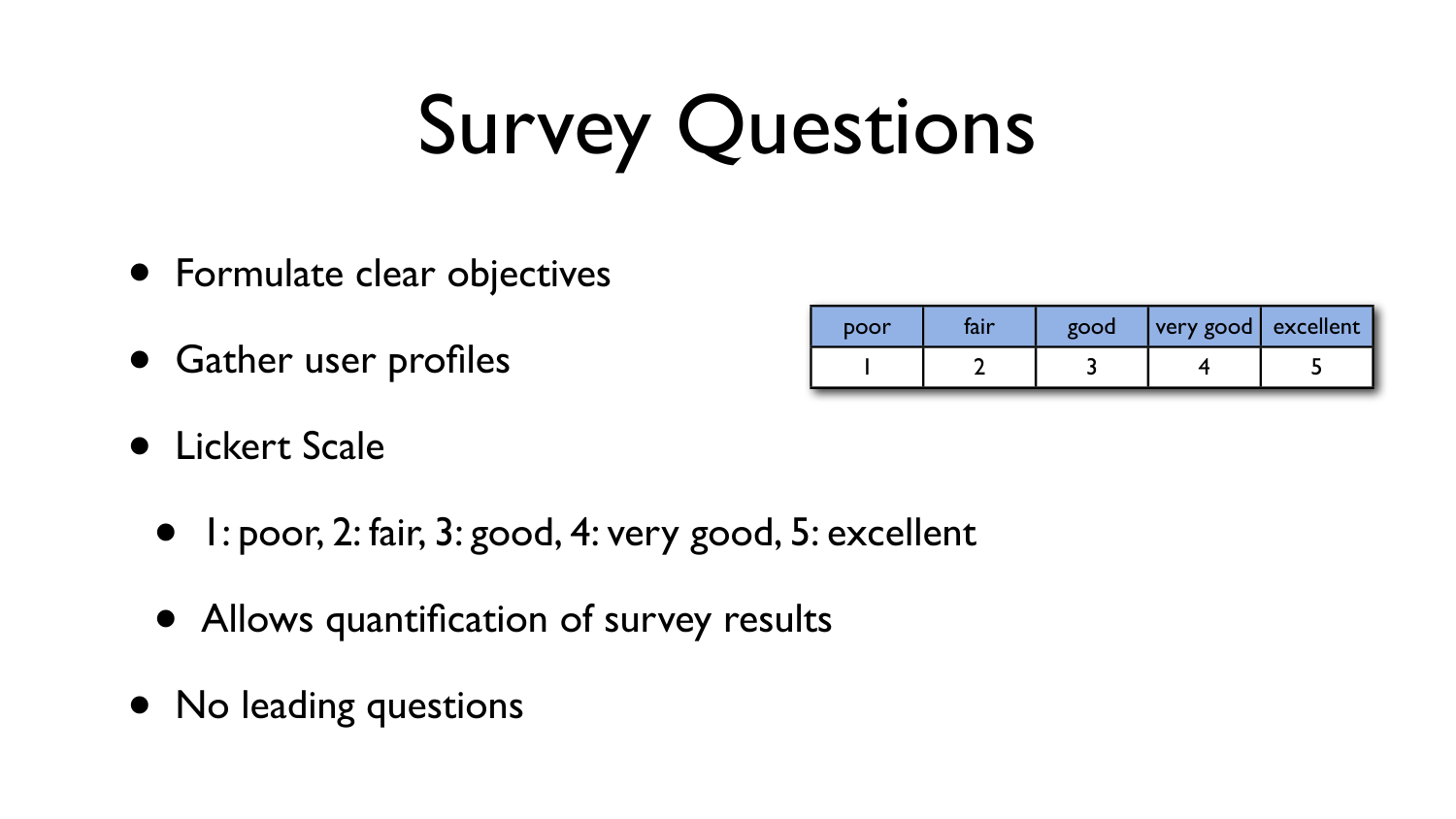# Survey Questions

- 1: poor, 2: fair, 3: good, 4: very good, 5: excellent
- Allows quantification of survey results
- No leading questions



- Formulate clear objectives
- Gather user profiles
- Lickert Scale

| poor | good | very good   excellent |  |
|------|------|-----------------------|--|
|      |      |                       |  |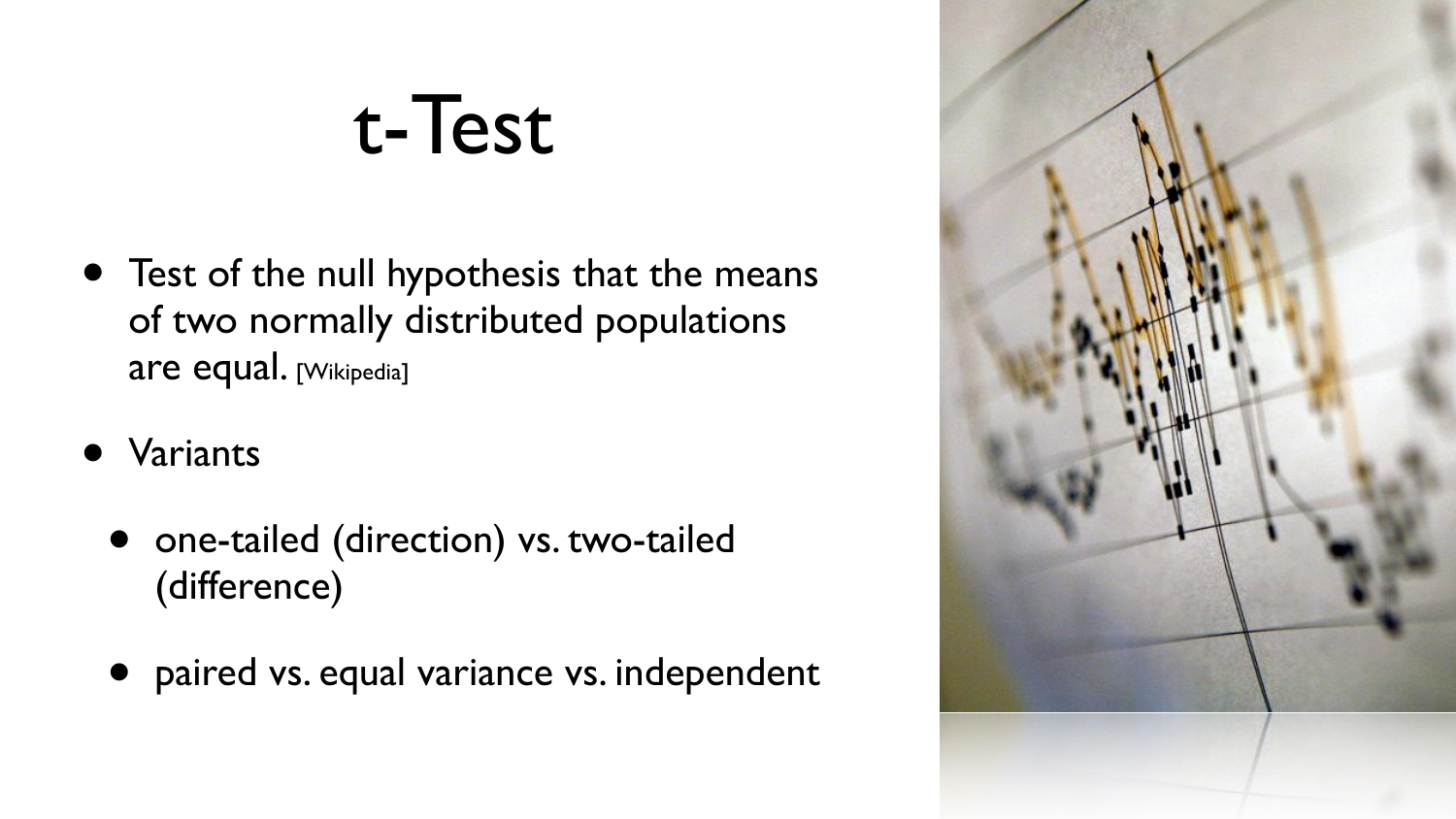#### t-Test

- Test of the null hypothesis that the means of two normally distributed populations are equal. [Wikipedia]
- Variants
	- one-tailed (direction) vs. two-tailed (difference)
	- paired vs. equal variance vs. independent

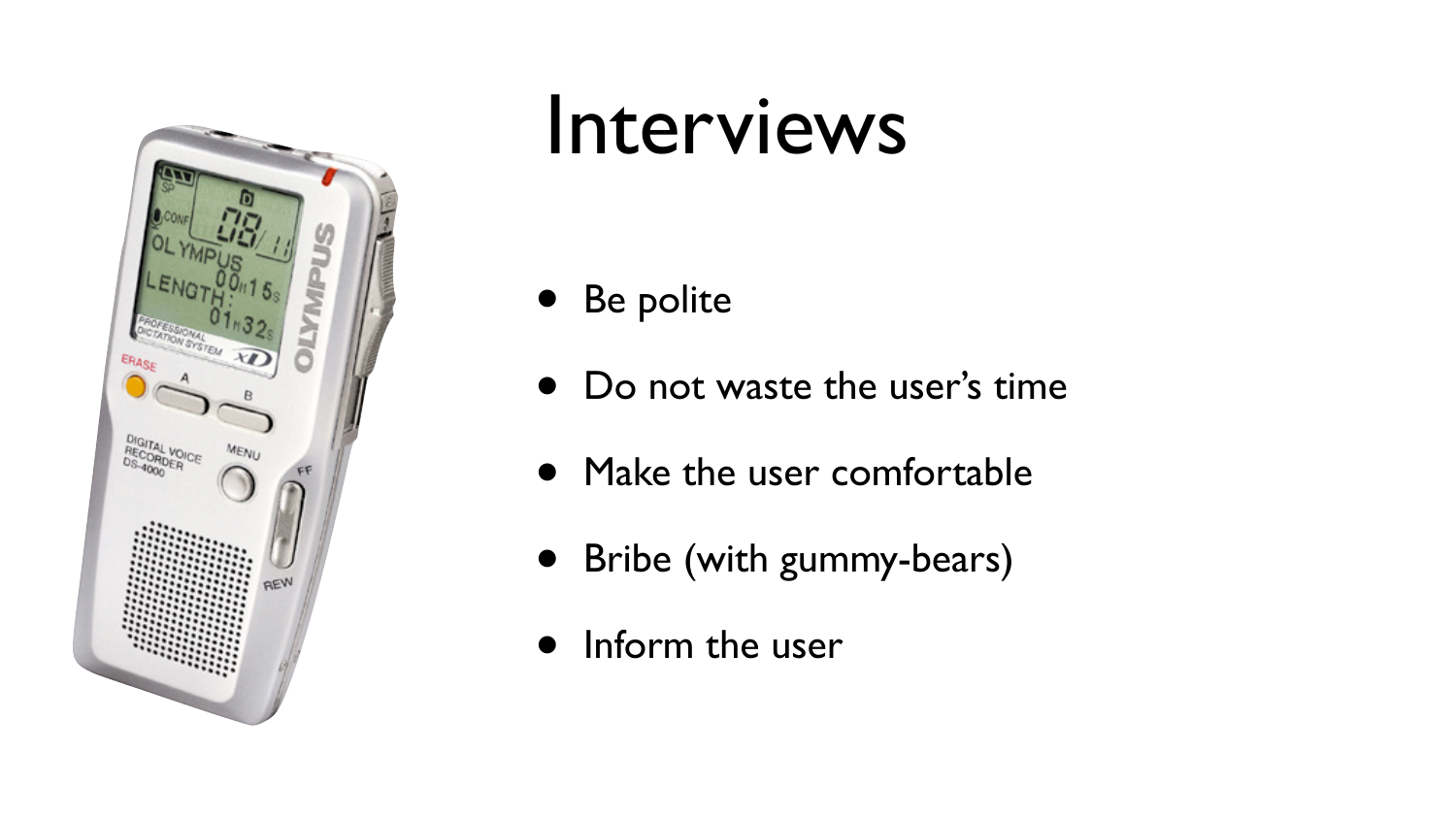

#### Interviews

- Be polite
- Do not waste the user's time
- Make the user comfortable
- Bribe (with gummy-bears)
- Inform the user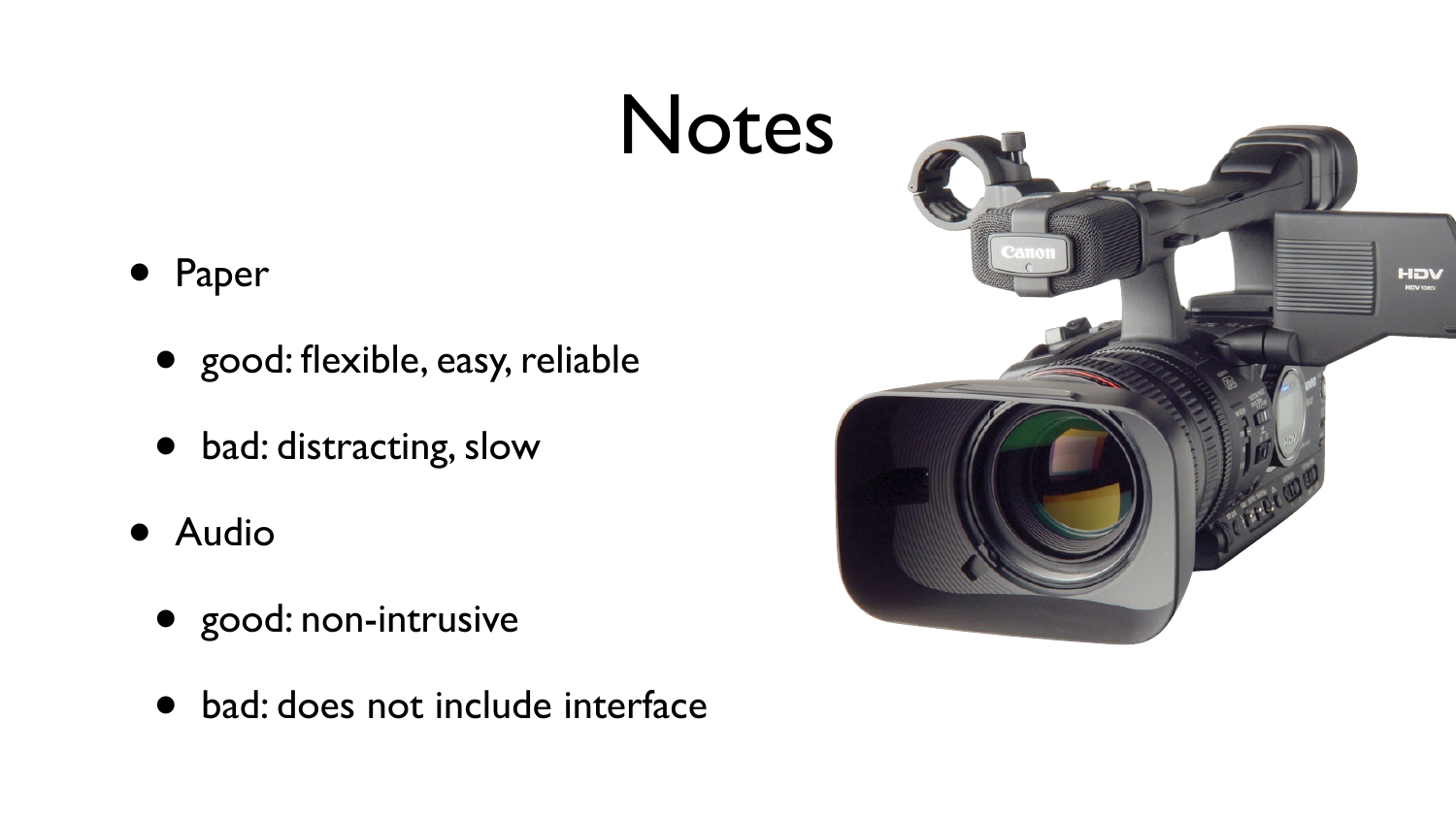#### Notes



- good: flexible, easy, reliable
- bad: distracting, slow
- Audio
	- good: non-intrusive
	- bad: does not include interface

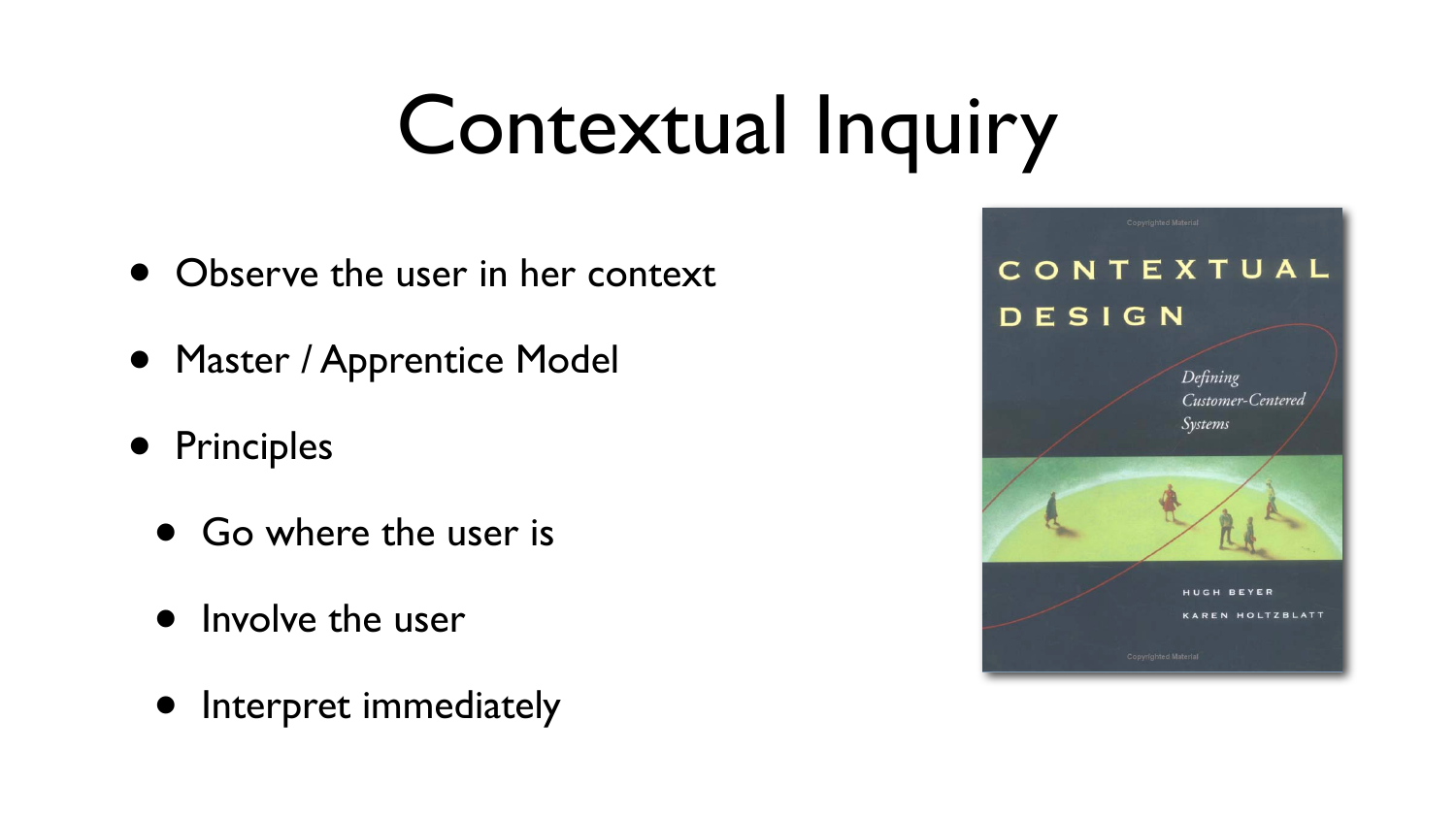#### Contextual Inquiry

- Observe the user in her context
- Master / Apprentice Model
- Principles
	- Go where the user is
	- Involve the user
	- Interpret immediately

#### CONTEXTUAL DESIGN

Defining Customer-Centered Systems

HUGH BEYER **KAREN HOLTZBLATT**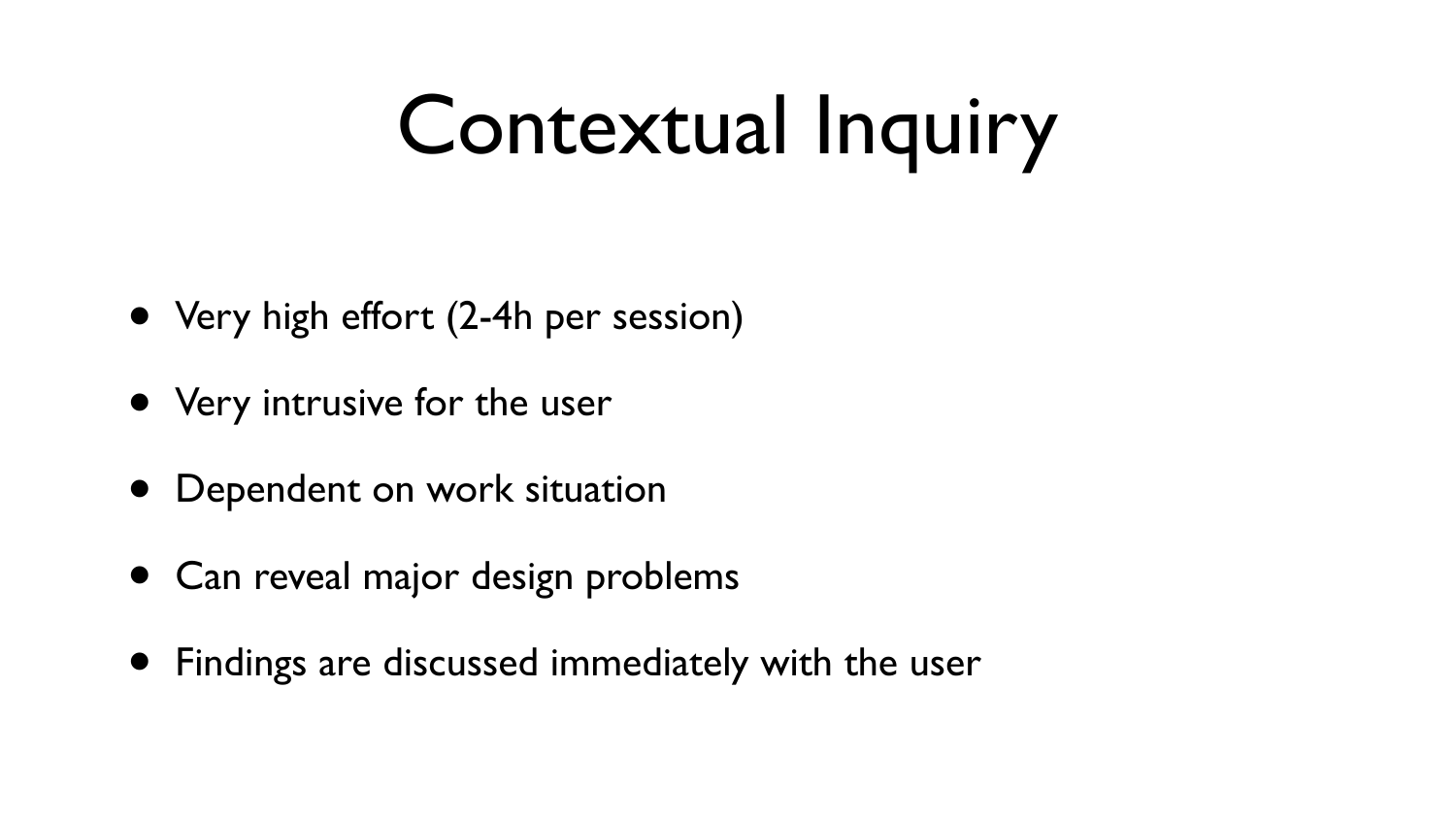### Contextual Inquiry

- Very high effort (2-4h per session)
- Very intrusive for the user
- Dependent on work situation
- Can reveal major design problems
- Findings are discussed immediately with the user